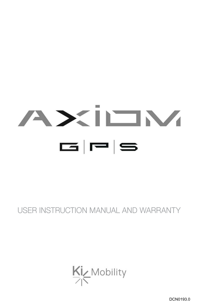# AXILIM  $\mathbf{G}$   $\mathbf{F}$  s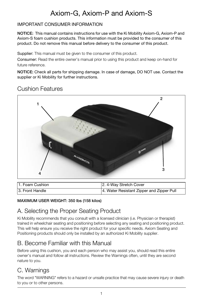# Axiom-G, Axiom-P and Axiom-S

#### IMPORTANT CONSUMER INFORMATION

**NOTICE:** This manual contains instructions for use with the Ki Mobility Axiom-G, Axiom-P and Axiom-S foam cushion products. This information must be provided to the consumer of this product. Do not remove this manual before delivery to the consumer of this product.

Supplier: This manual must be given to the consumer of this product.

Consumer: Read the entire owner's manual prior to using this product and keep on-hand for future reference.

**NOTICE:** Check all parts for shipping damage. In case of damage, DO NOT use. Contact the supplier or Ki Mobility for further instructions.

#### Cushion Features



| 11. Foam Cushion | 2. 4-Way Stretch Cover                    |
|------------------|-------------------------------------------|
| 13. Front Handle | 4. Water Resistant Zipper and Zipper Pull |

#### **MAXIMUM USER WEIGHT: 350 lbs (158 kilos)**

#### A. Selecting the Proper Seating Product

Ki Mobility recommends that you consult with a licensed clinician (i.e. Physician or therapist) trained in wheelchair seating and positioning before selecting any seating and positioning product. This will help ensure you receive the right product for your specific needs. Axiom Seating and Positioning products should only be installed by an authorized Ki Mobility supplier.

#### B. Become Familiar with this Manual

Before using this cushion, you and each person who may assist you, should read this entire owner's manual and follow all instructions. Review the Warnings often, until they are second nature to you.

#### C. Warnings

The word "WARNING" refers to a hazard or unsafe practice that may cause severe injury or death to you or to other persons.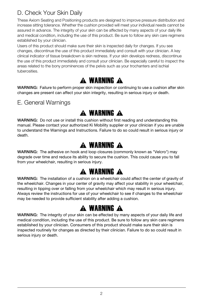### D. Check Your Skin Daily

These Axiom Seating and Positioning products are designed to improve pressure distribution and increase sitting tolerance. Whether the cushion provided will meet your individual needs cannot be assured in advance. The integrity of your skin can be affected by many aspects of your daily life and medical condition, including the use of this product. Be sure to follow any skin care regimens established by your clinician.

Users of this product should make sure their skin is inspected daily for changes. If you see changes, discontinue the use of this product immediately and consult with your clinician. A key clinical indicator of tissue breakdown is skin redness. If your skin develops redness, discontinue the use of this product immediately and consult your clinician. Be especially careful to inspect the areas related to the bony prominences of the pelvis such as your trochanters and ischial tuberosities.

# A WARNING A

**WARNING:** Failure to perform proper skin inspection or continuing to use a cushion after skin changes are present can affect your skin integrity, resulting in serious injury or death.

E. General Warnings

# A WARNING A

**WARNING:** Do not use or install this cushion without first reading and understanding this manual. Please contact your authorized Ki Mobility supplier or your clinician if you are unable to understand the Warnings and Instructions. Failure to do so could result in serious injury or death.

# **A WARNING A**

**WARNING:** The adhesive on hook and loop closures (commonly known as "Velcro") may degrade over time and reduce its ability to secure the cushion. This could cause you to fall from your wheelchair, resulting in serious injury.

# A WARNING A

**WARNING:** The installation of a cushion on a wheelchair could affect the center of gravity of the wheelchair. Changes in your center of gravity may affect your stability in your wheelchair, resulting in tipping over or falling from your wheelchair which may result in serious injury. Always review the instructions for use of your wheelchair to see if changes to the wheelchair may be needed to provide sufficient stability after adding a cushion.

# A WARNING A

**WARNING:** The integrity of your skin can be effected by many aspects of your daily life and medical condition, including the use of this product. Be sure to follow any skin care regimens established by your clinician. Consumers of this product should make sure their skin is inspected routinely for changes as directed by their clinician. Failure to do so could result in serious injury or death.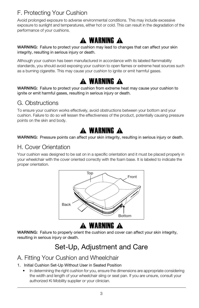## F. Protecting Your Cushion

Avoid prolonged exposure to adverse environmental conditions. This may include excessive exposure to sunlight and temperatures, either hot or cold. This can result in the degradation of the performance of your cushions.



**WARNING:** Failure to protect your cushion may lead to changes that can affect your skin integrity, resulting in serious injury or death.

Although your cushion has been manufactured in accordance with its labeled flammability standards, you should avoid exposing your cushion to open flames or extreme heat sources such as a burning cigarette. This may cause your cushion to ignite or emit harmful gases.

# A WARNING A

**WARNING:** Failure to protect your cushion from extreme heat may cause your cushion to ignite or emit harmful gases, resulting in serious injury or death.

#### G. Obstructions

To ensure your cushion works effectively, avoid obstructions between your bottom and your cushion. Failure to do so will lessen the effectiveness of the product, potentially causing pressure points on the skin and body.

# A WARNING A

**WARNING:** Pressure points can affect your skin integrity, resulting in serious injury or death.

#### H. Cover Orientation

Your cushion was designed to be sat on in a specific orientation and it must be placed properly in your wheelchair with the cover oriented correctly with the foam base. It is labeled to indicate the proper orientation.



## **A WARNING A**

**WARNING:** Failure to properly orient the cushion and cover can affect your skin integrity, resulting in serious injury or death.

# Set-Up, Adjustment and Care

#### A. Fitting Your Cushion and Wheelchair

#### 1. Initial Cushion Set-Up Without User in Seated Position

• In determining the right cushion for you, ensure the dimensions are appropriate considering the width and length of your wheelchair sling or seat pan. If you are unsure, consult your authorized Ki Mobility supplier or your clinician.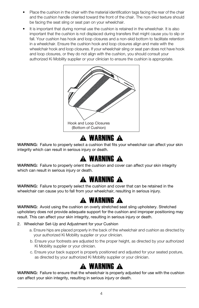- Place the cushion in the chair with the material identification tags facing the rear of the chair and the cushion handle oriented toward the front of the chair. The non-skid texture should be facing the seat sling or seat pan on your wheelchair.
- It is important that during normal use the cushion is retained in the wheelchair. It is also important that the cushion is not displaced during transfers that might cause you to slip or fall. Your cushion has hook and loop closures and a non-skid bottom to facilitate retention in a wheelchair. Ensure the cushion hook and loop closures align and mate with the wheelchair hook and loop closures. If your wheelchair sling or seat pan does not have hook and loop closures, or they do not align with the cushion, you should consult your authorized Ki Mobility supplier or your clinician to ensure the cushion is appropriate.



# A WARNING A

**WARNING:** Failure to properly select a cushion that fits your wheelchair can affect your skin integrity which can result in serious injury or death.

## A WARNING A

**WARNING:** Failure to properly orient the cushion and cover can affect your skin integrity which can result in serious injury or death.

## A WARNING A

**WARNING:** Failure to properly select the cushion and cover that can be retained in the wheelchair can cause you to fall from your wheelchair, resulting in serious injury.

## A WARNING A

**WARNING:** Avoid using the cushion on overly stretched seat sling upholstery. Stretched upholstery does not provide adequate support for the cushion and improper positioning may result. This can affect your skin integrity, resulting in serious injury or death.

- 2. Wheelchair Set-Up and Adjustment for your Cushion
	- a. Ensure hips are placed properly in the back of the wheelchair and cushion as directed by your authorized Ki Mobility supplier or your clinician.
	- b. Ensure your footrests are adjusted to the proper height, as directed by your authorized Ki Mobility supplier or your clinician.
	- c. Ensure your back support is properly positioned and adjusted for your seated posture, as directed by your authorized Ki Mobility supplier or your clinician.

## **A WARNING A**

**WARNING:** Failure to ensure that the wheelchair is properly adjusted for use with the cushion can affect your skin integrity, resulting in serious injury or death.